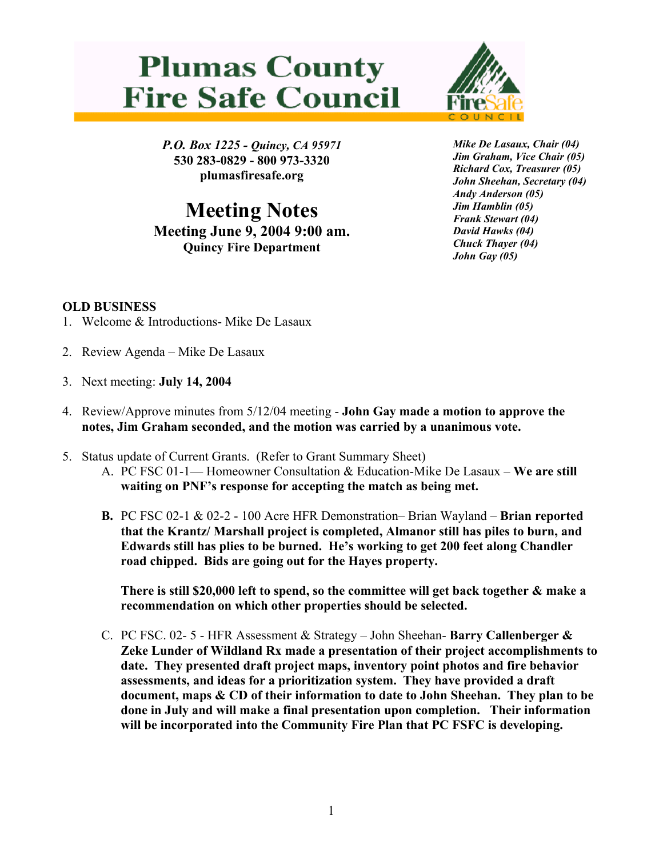## **Plumas County Fire Safe Council**



*P.O. Box 1225 - Quincy, CA 95971*  **530 283-0829 - 800 973-3320 plumasfiresafe.org** 

**Meeting Notes Meeting June 9, 2004 9:00 am. Quincy Fire Department**

*Mike De Lasaux, Chair (04) Jim Graham, Vice Chair (05) Richard Cox, Treasurer (05) John Sheehan, Secretary (04) Andy Anderson (05) Jim Hamblin (05) Frank Stewart (04) David Hawks (04) Chuck Thayer (04) John Gay (05)*

## **OLD BUSINESS**

- 1. Welcome & Introductions- Mike De Lasaux
- 2. Review Agenda Mike De Lasaux
- 3. Next meeting: **July 14, 2004**
- 4. Review/Approve minutes from 5/12/04 meeting **John Gay made a motion to approve the notes, Jim Graham seconded, and the motion was carried by a unanimous vote.**
- 5. Status update of Current Grants. (Refer to Grant Summary Sheet)
	- A. PC FSC 01-1— Homeowner Consultation & Education-Mike De Lasaux **We are still waiting on PNF's response for accepting the match as being met.**
	- **B.** PC FSC 02-1 & 02-2 100 Acre HFR Demonstration– Brian Wayland **Brian reported that the Krantz/ Marshall project is completed, Almanor still has piles to burn, and Edwards still has plies to be burned. He's working to get 200 feet along Chandler road chipped. Bids are going out for the Hayes property.**

**There is still \$20,000 left to spend, so the committee will get back together & make a recommendation on which other properties should be selected.** 

C. PC FSC. 02- 5 - HFR Assessment & Strategy – John Sheehan- **Barry Callenberger & Zeke Lunder of Wildland Rx made a presentation of their project accomplishments to date. They presented draft project maps, inventory point photos and fire behavior assessments, and ideas for a prioritization system. They have provided a draft document, maps & CD of their information to date to John Sheehan. They plan to be done in July and will make a final presentation upon completion. Their information will be incorporated into the Community Fire Plan that PC FSFC is developing.**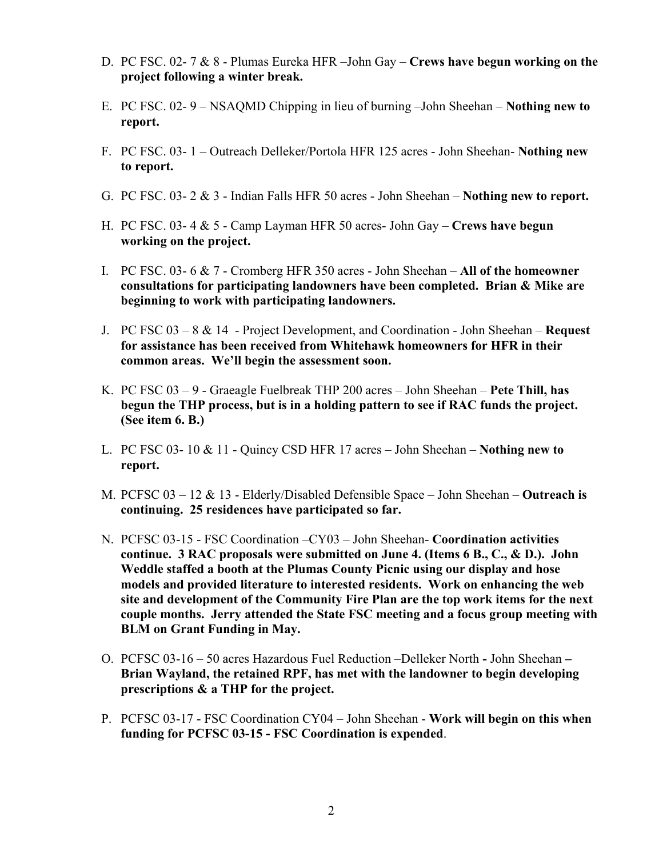- D. PC FSC. 02- 7 & 8 Plumas Eureka HFR –John Gay **Crews have begun working on the project following a winter break.**
- E. PC FSC. 02- 9 NSAQMD Chipping in lieu of burning –John Sheehan **Nothing new to report.**
- F. PC FSC. 03- 1 Outreach Delleker/Portola HFR 125 acres John Sheehan- **Nothing new to report.**
- G. PC FSC. 03- 2 & 3 Indian Falls HFR 50 acres John Sheehan **Nothing new to report.**
- H. PC FSC. 03- 4 & 5 Camp Layman HFR 50 acres- John Gay **Crews have begun working on the project.**
- I. PC FSC. 03- 6 & 7 Cromberg HFR 350 acres John Sheehan **All of the homeowner consultations for participating landowners have been completed. Brian & Mike are beginning to work with participating landowners.**
- J. PC FSC 03 8 & 14 Project Development, and Coordination John Sheehan – **Request for assistance has been received from Whitehawk homeowners for HFR in their common areas. We'll begin the assessment soon.**
- K. PC FSC 03 9 Graeagle Fuelbreak THP 200 acres John Sheehan – **Pete Thill, has begun the THP process, but is in a holding pattern to see if RAC funds the project. (See item 6. B.)**
- L. PC FSC 03- 10 & 11 Quincy CSD HFR 17 acres John Sheehan – **Nothing new to report.**
- M. PCFSC 03 12 & 13 Elderly/Disabled Defensible Space John Sheehan **Outreach is continuing. 25 residences have participated so far.**
- N. PCFSC 03-15 FSC Coordination –CY03 John Sheehan- **Coordination activities continue. 3 RAC proposals were submitted on June 4. (Items 6 B., C., & D.). John Weddle staffed a booth at the Plumas County Picnic using our display and hose models and provided literature to interested residents. Work on enhancing the web site and development of the Community Fire Plan are the top work items for the next couple months. Jerry attended the State FSC meeting and a focus group meeting with BLM on Grant Funding in May.**
- O. PCFSC 03-16 50 acres Hazardous Fuel Reduction –Delleker North **-** John Sheehan **Brian Wayland, the retained RPF, has met with the landowner to begin developing prescriptions & a THP for the project.**
- P. PCFSC 03-17 FSC Coordination CY04 John Sheehan **Work will begin on this when funding for PCFSC 03-15 - FSC Coordination is expended**.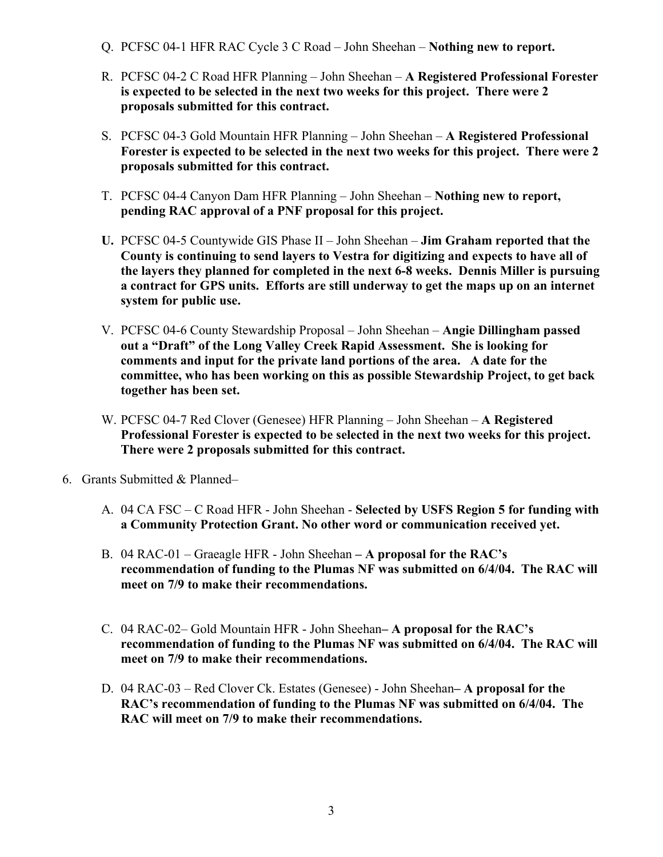- Q. PCFSC 04-1 HFR RAC Cycle 3 C Road John Sheehan **Nothing new to report.**
- R. PCFSC 04-2 C Road HFR Planning John Sheehan **A Registered Professional Forester is expected to be selected in the next two weeks for this project. There were 2 proposals submitted for this contract.**
- S. PCFSC 04-3 Gold Mountain HFR Planning John Sheehan **A Registered Professional Forester is expected to be selected in the next two weeks for this project. There were 2 proposals submitted for this contract.**
- T. PCFSC 04-4 Canyon Dam HFR Planning John Sheehan **Nothing new to report, pending RAC approval of a PNF proposal for this project.**
- **U.** PCFSC 04-5 Countywide GIS Phase II John Sheehan – **Jim Graham reported that the County is continuing to send layers to Vestra for digitizing and expects to have all of the layers they planned for completed in the next 6-8 weeks. Dennis Miller is pursuing a contract for GPS units. Efforts are still underway to get the maps up on an internet system for public use.**
- V. PCFSC 04-6 County Stewardship Proposal John Sheehan **Angie Dillingham passed out a "Draft" of the Long Valley Creek Rapid Assessment. She is looking for comments and input for the private land portions of the area. A date for the committee, who has been working on this as possible Stewardship Project, to get back together has been set.**
- W. PCFSC 04-7 Red Clover (Genesee) HFR Planning John Sheehan – **A Registered Professional Forester is expected to be selected in the next two weeks for this project. There were 2 proposals submitted for this contract.**
- 6. Grants Submitted & Planned–
	- A. 04 CA FSC C Road HFR John Sheehan **Selected by USFS Region 5 for funding with a Community Protection Grant. No other word or communication received yet.**
	- B. 04 RAC-01 Graeagle HFR John Sheehan  **A proposal for the RAC's recommendation of funding to the Plumas NF was submitted on 6/4/04. The RAC will meet on 7/9 to make their recommendations.**
	- C. 04 RAC-02– Gold Mountain HFR John Sheehan **A proposal for the RAC's recommendation of funding to the Plumas NF was submitted on 6/4/04. The RAC will meet on 7/9 to make their recommendations.**
	- D. 04 RAC-03 Red Clover Ck. Estates (Genesee) John Sheehan **A proposal for the RAC's recommendation of funding to the Plumas NF was submitted on 6/4/04. The RAC will meet on 7/9 to make their recommendations.**